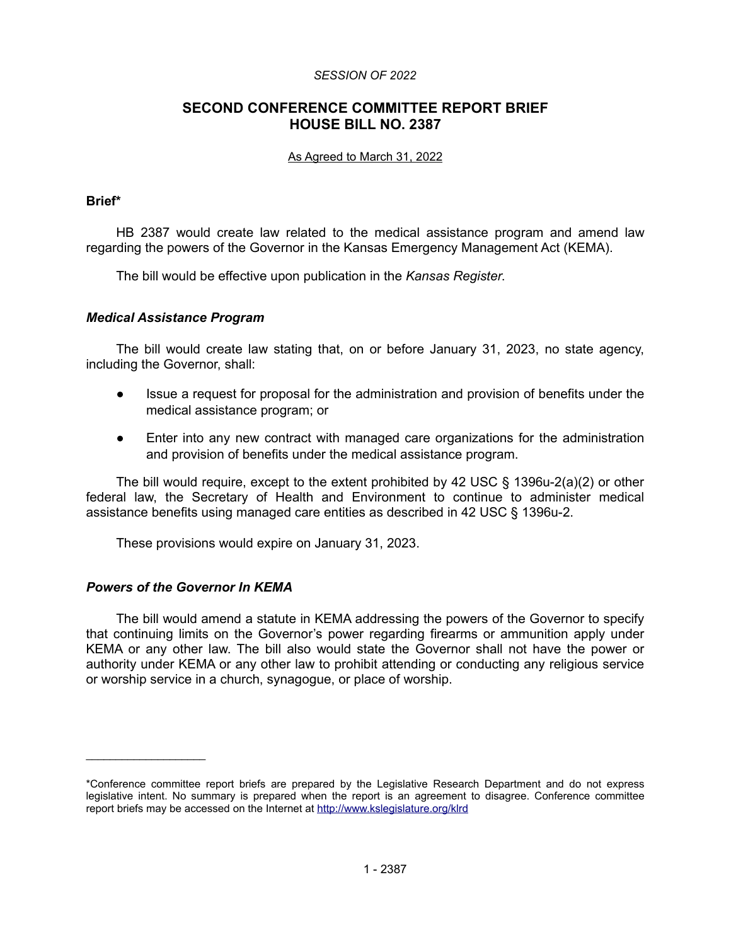### *SESSION OF 2022*

# **SECOND CONFERENCE COMMITTEE REPORT BRIEF HOUSE BILL NO. 2387**

#### As Agreed to March 31, 2022

### **Brief\***

HB 2387 would create law related to the medical assistance program and amend law regarding the powers of the Governor in the Kansas Emergency Management Act (KEMA).

The bill would be effective upon publication in the *Kansas Register*.

## *Medical Assistance Program*

The bill would create law stating that, on or before January 31, 2023, no state agency, including the Governor, shall:

- Issue a request for proposal for the administration and provision of benefits under the medical assistance program; or
- Enter into any new contract with managed care organizations for the administration and provision of benefits under the medical assistance program.

The bill would require, except to the extent prohibited by 42 USC § 1396u-2(a)(2) or other federal law, the Secretary of Health and Environment to continue to administer medical assistance benefits using managed care entities as described in 42 USC § 1396u-2.

These provisions would expire on January 31, 2023.

### *Powers of the Governor In KEMA*

 $\mathcal{L}_\text{max}$  , where  $\mathcal{L}_\text{max}$ 

The bill would amend a statute in KEMA addressing the powers of the Governor to specify that continuing limits on the Governor's power regarding firearms or ammunition apply under KEMA or any other law. The bill also would state the Governor shall not have the power or authority under KEMA or any other law to prohibit attending or conducting any religious service or worship service in a church, synagogue, or place of worship.

<sup>\*</sup>Conference committee report briefs are prepared by the Legislative Research Department and do not express legislative intent. No summary is prepared when the report is an agreement to disagree. Conference committee report briefs may be accessed on the Internet at<http://www.kslegislature.org/klrd>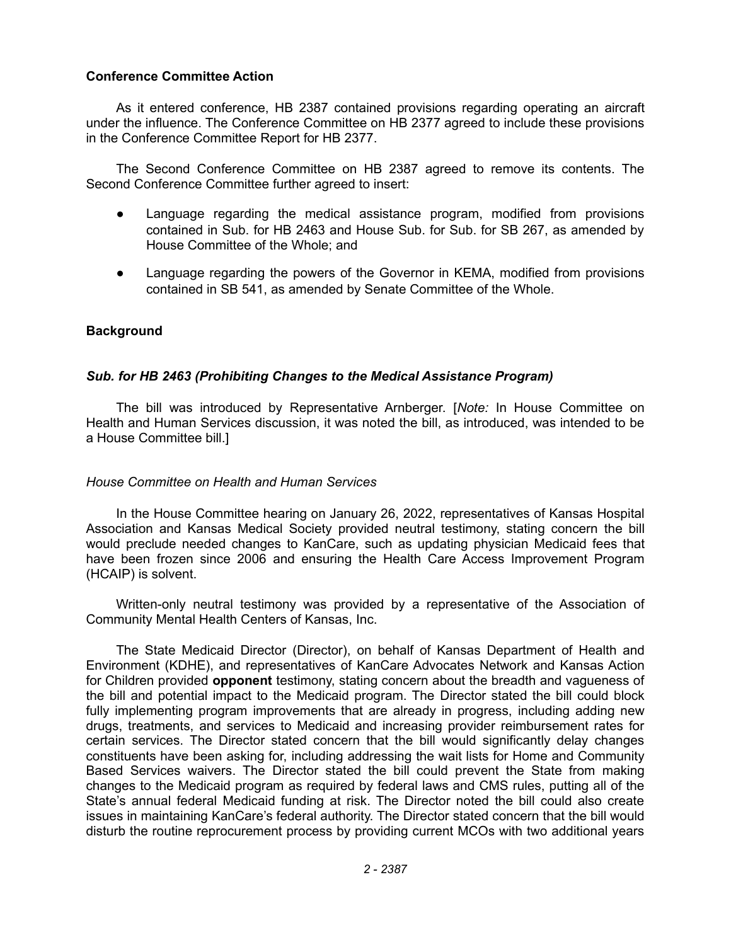## **Conference Committee Action**

As it entered conference, HB 2387 contained provisions regarding operating an aircraft under the influence. The Conference Committee on HB 2377 agreed to include these provisions in the Conference Committee Report for HB 2377.

The Second Conference Committee on HB 2387 agreed to remove its contents. The Second Conference Committee further agreed to insert:

- Language regarding the medical assistance program, modified from provisions contained in Sub. for HB 2463 and House Sub. for Sub. for SB 267, as amended by House Committee of the Whole; and
- Language regarding the powers of the Governor in KEMA, modified from provisions contained in SB 541, as amended by Senate Committee of the Whole.

## **Background**

## *Sub. for HB 2463 (Prohibiting Changes to the Medical Assistance Program)*

The bill was introduced by Representative Arnberger. [*Note:* In House Committee on Health and Human Services discussion, it was noted the bill, as introduced, was intended to be a House Committee bill.]

### *House Committee on Health and Human Services*

In the House Committee hearing on January 26, 2022, representatives of Kansas Hospital Association and Kansas Medical Society provided neutral testimony, stating concern the bill would preclude needed changes to KanCare, such as updating physician Medicaid fees that have been frozen since 2006 and ensuring the Health Care Access Improvement Program (HCAIP) is solvent.

Written-only neutral testimony was provided by a representative of the Association of Community Mental Health Centers of Kansas, Inc.

The State Medicaid Director (Director), on behalf of Kansas Department of Health and Environment (KDHE), and representatives of KanCare Advocates Network and Kansas Action for Children provided **opponent** testimony, stating concern about the breadth and vagueness of the bill and potential impact to the Medicaid program. The Director stated the bill could block fully implementing program improvements that are already in progress, including adding new drugs, treatments, and services to Medicaid and increasing provider reimbursement rates for certain services. The Director stated concern that the bill would significantly delay changes constituents have been asking for, including addressing the wait lists for Home and Community Based Services waivers. The Director stated the bill could prevent the State from making changes to the Medicaid program as required by federal laws and CMS rules, putting all of the State's annual federal Medicaid funding at risk. The Director noted the bill could also create issues in maintaining KanCare's federal authority. The Director stated concern that the bill would disturb the routine reprocurement process by providing current MCOs with two additional years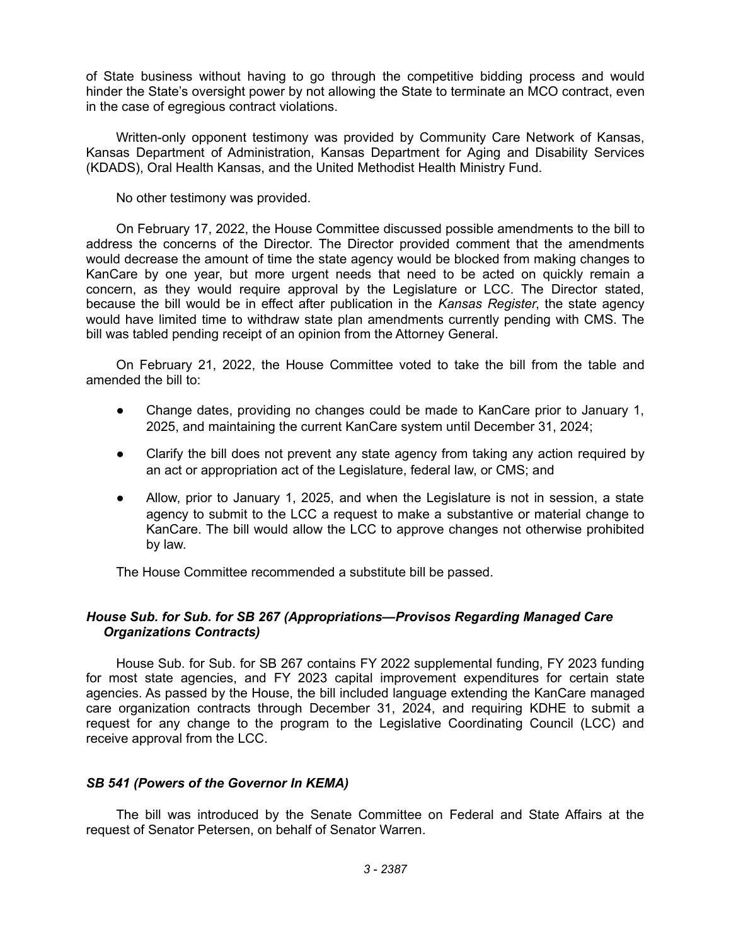of State business without having to go through the competitive bidding process and would hinder the State's oversight power by not allowing the State to terminate an MCO contract, even in the case of egregious contract violations.

Written-only opponent testimony was provided by Community Care Network of Kansas, Kansas Department of Administration, Kansas Department for Aging and Disability Services (KDADS), Oral Health Kansas, and the United Methodist Health Ministry Fund.

No other testimony was provided.

On February 17, 2022, the House Committee discussed possible amendments to the bill to address the concerns of the Director. The Director provided comment that the amendments would decrease the amount of time the state agency would be blocked from making changes to KanCare by one year, but more urgent needs that need to be acted on quickly remain a concern, as they would require approval by the Legislature or LCC. The Director stated, because the bill would be in effect after publication in the *Kansas Register*, the state agency would have limited time to withdraw state plan amendments currently pending with CMS. The bill was tabled pending receipt of an opinion from the Attorney General.

On February 21, 2022, the House Committee voted to take the bill from the table and amended the bill to:

- Change dates, providing no changes could be made to KanCare prior to January 1, 2025, and maintaining the current KanCare system until December 31, 2024;
- Clarify the bill does not prevent any state agency from taking any action required by an act or appropriation act of the Legislature, federal law, or CMS; and
- Allow, prior to January 1, 2025, and when the Legislature is not in session, a state agency to submit to the LCC a request to make a substantive or material change to KanCare. The bill would allow the LCC to approve changes not otherwise prohibited by law.

The House Committee recommended a substitute bill be passed.

# *House Sub. for Sub. for SB 267 (Appropriations—Provisos Regarding Managed Care Organizations Contracts)*

House Sub. for Sub. for SB 267 contains FY 2022 supplemental funding, FY 2023 funding for most state agencies, and FY 2023 capital improvement expenditures for certain state agencies. As passed by the House, the bill included language extending the KanCare managed care organization contracts through December 31, 2024, and requiring KDHE to submit a request for any change to the program to the Legislative Coordinating Council (LCC) and receive approval from the LCC.

# *SB 541 (Powers of the Governor In KEMA)*

The bill was introduced by the Senate Committee on Federal and State Affairs at the request of Senator Petersen, on behalf of Senator Warren.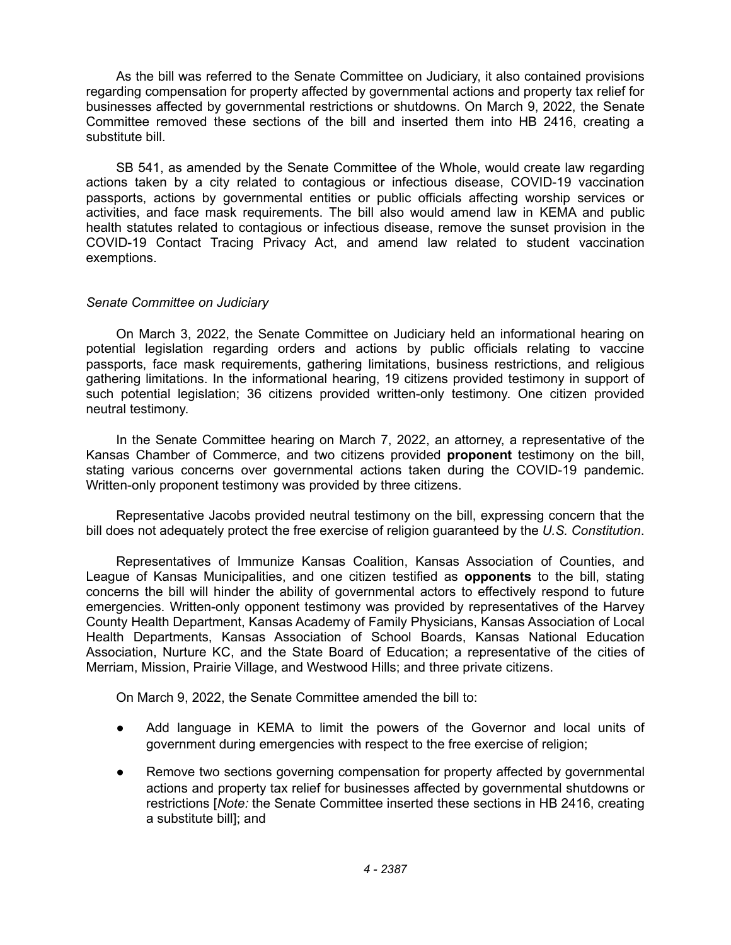As the bill was referred to the Senate Committee on Judiciary, it also contained provisions regarding compensation for property affected by governmental actions and property tax relief for businesses affected by governmental restrictions or shutdowns. On March 9, 2022, the Senate Committee removed these sections of the bill and inserted them into HB 2416, creating a substitute bill.

SB 541, as amended by the Senate Committee of the Whole, would create law regarding actions taken by a city related to contagious or infectious disease, COVID-19 vaccination passports, actions by governmental entities or public officials affecting worship services or activities, and face mask requirements. The bill also would amend law in KEMA and public health statutes related to contagious or infectious disease, remove the sunset provision in the COVID-19 Contact Tracing Privacy Act, and amend law related to student vaccination exemptions.

## *Senate Committee on Judiciary*

On March 3, 2022, the Senate Committee on Judiciary held an informational hearing on potential legislation regarding orders and actions by public officials relating to vaccine passports, face mask requirements, gathering limitations, business restrictions, and religious gathering limitations. In the informational hearing, 19 citizens provided testimony in support of such potential legislation; 36 citizens provided written-only testimony. One citizen provided neutral testimony.

In the Senate Committee hearing on March 7, 2022, an attorney, a representative of the Kansas Chamber of Commerce, and two citizens provided **proponent** testimony on the bill, stating various concerns over governmental actions taken during the COVID-19 pandemic. Written-only proponent testimony was provided by three citizens.

Representative Jacobs provided neutral testimony on the bill, expressing concern that the bill does not adequately protect the free exercise of religion guaranteed by the *U.S. Constitution*.

Representatives of Immunize Kansas Coalition, Kansas Association of Counties, and League of Kansas Municipalities, and one citizen testified as **opponents** to the bill, stating concerns the bill will hinder the ability of governmental actors to effectively respond to future emergencies. Written-only opponent testimony was provided by representatives of the Harvey County Health Department, Kansas Academy of Family Physicians, Kansas Association of Local Health Departments, Kansas Association of School Boards, Kansas National Education Association, Nurture KC, and the State Board of Education; a representative of the cities of Merriam, Mission, Prairie Village, and Westwood Hills; and three private citizens.

On March 9, 2022, the Senate Committee amended the bill to:

- Add language in KEMA to limit the powers of the Governor and local units of government during emergencies with respect to the free exercise of religion;
- Remove two sections governing compensation for property affected by governmental actions and property tax relief for businesses affected by governmental shutdowns or restrictions [*Note:* the Senate Committee inserted these sections in HB 2416, creating a substitute bill]; and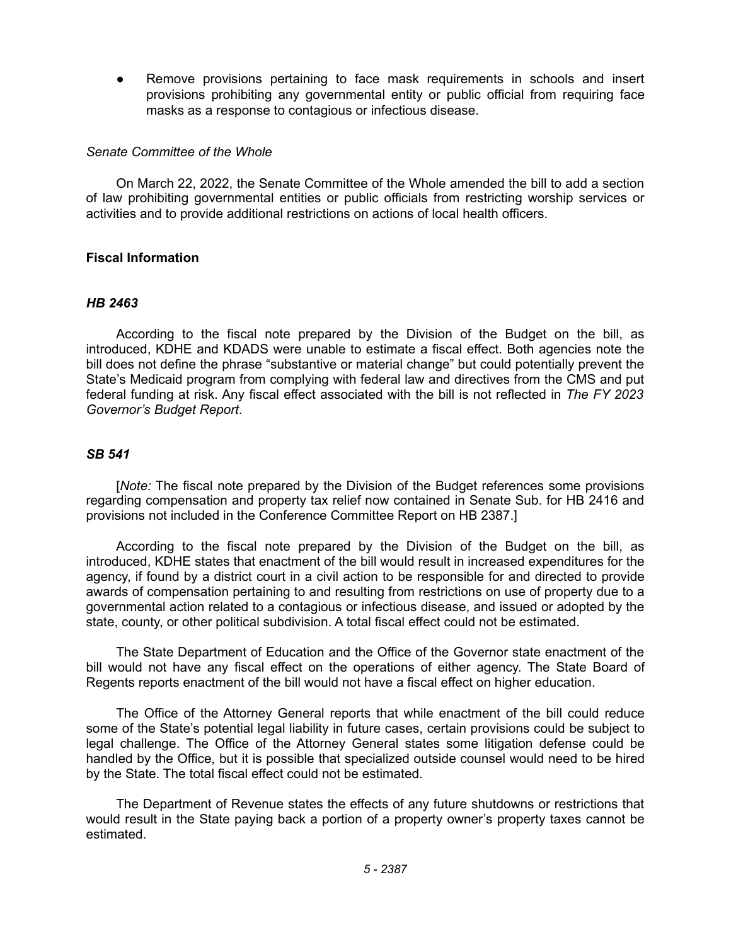Remove provisions pertaining to face mask requirements in schools and insert provisions prohibiting any governmental entity or public official from requiring face masks as a response to contagious or infectious disease.

#### *Senate Committee of the Whole*

On March 22, 2022, the Senate Committee of the Whole amended the bill to add a section of law prohibiting governmental entities or public officials from restricting worship services or activities and to provide additional restrictions on actions of local health officers.

### **Fiscal Information**

### *HB 2463*

According to the fiscal note prepared by the Division of the Budget on the bill, as introduced, KDHE and KDADS were unable to estimate a fiscal effect. Both agencies note the bill does not define the phrase "substantive or material change" but could potentially prevent the State's Medicaid program from complying with federal law and directives from the CMS and put federal funding at risk. Any fiscal effect associated with the bill is not reflected in *The FY 2023 Governor's Budget Report*.

### *SB 541*

[*Note:* The fiscal note prepared by the Division of the Budget references some provisions regarding compensation and property tax relief now contained in Senate Sub. for HB 2416 and provisions not included in the Conference Committee Report on HB 2387.]

According to the fiscal note prepared by the Division of the Budget on the bill, as introduced, KDHE states that enactment of the bill would result in increased expenditures for the agency, if found by a district court in a civil action to be responsible for and directed to provide awards of compensation pertaining to and resulting from restrictions on use of property due to a governmental action related to a contagious or infectious disease, and issued or adopted by the state, county, or other political subdivision. A total fiscal effect could not be estimated.

The State Department of Education and the Office of the Governor state enactment of the bill would not have any fiscal effect on the operations of either agency. The State Board of Regents reports enactment of the bill would not have a fiscal effect on higher education.

The Office of the Attorney General reports that while enactment of the bill could reduce some of the State's potential legal liability in future cases, certain provisions could be subject to legal challenge. The Office of the Attorney General states some litigation defense could be handled by the Office, but it is possible that specialized outside counsel would need to be hired by the State. The total fiscal effect could not be estimated.

The Department of Revenue states the effects of any future shutdowns or restrictions that would result in the State paying back a portion of a property owner's property taxes cannot be estimated.